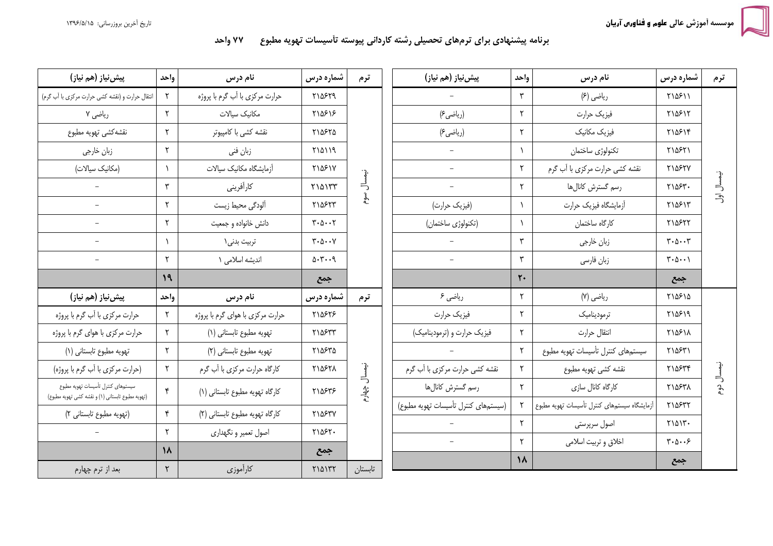## برنامه پیشنهادی برای ترمهای تحصیلی رشته کاردانی پیوسته تأسیسات تهویه مطبوع ۷۷ واحد

| پیش نیاز (هم نیاز)                                                                      | واحد           | نام درس                          | شماره درس                                      | ترم                 | پیش نیاز (هم نیاز)                   | واحد           | نام درس                                      | شماره درس                                            | ترم        |
|-----------------------------------------------------------------------------------------|----------------|----------------------------------|------------------------------------------------|---------------------|--------------------------------------|----------------|----------------------------------------------|------------------------------------------------------|------------|
| انتقال حرارت و (نقشه كشى حرارت مركزى با أب كرم)                                         | ٢              | حرارت مركزي با أب گرم با پروژه   | ٢١۵۶٢٩                                         | نيمسال<br>ھوم       |                                      | ٣              | رياضي (۶)                                    | <b>٢١۵۶١١</b>                                        | نيمسال اول |
| ریاضی ۷                                                                                 | $\mathsf{r}$   | مكانيك سيالات                    | ٢١۵۶١۶                                         |                     | (رياضي ع)                            | ۲              | فيزيك حرارت                                  | ٢١۵۶١٢                                               |            |
| نقشه كشى تهويه مطبوع                                                                    | ٢              | نقشه کشی با کامپیوتر             | ٢١۵۶٢۵                                         |                     | (ریاضی۶)                             | ٢              | فیزیک مکانیک                                 | ٢١۵۶١۴                                               |            |
| زبان خارجي                                                                              | ٢              | زبان فني                         | 710119                                         |                     | $\qquad \qquad -$                    |                | تكنولوژى ساختمان                             | ٢١۵۶٢١                                               |            |
| (مكانيك سيالات)                                                                         | $\lambda$      | أزمايشگاه مكانيك سيالات          | <b>MY381Y</b>                                  |                     | $\overline{\phantom{0}}$             | $\mathsf{r}$   | نقشه كشي حرارت مركزي با أب گرم               | <b>٢١۵۶٢٧</b>                                        |            |
|                                                                                         | ٣              | كارأفريني                        | $Y \setminus \Delta \setminus YY$              |                     | $\overline{a}$                       | ٢              | رسم گسترش كانالها                            | ٢١۵۶٣.                                               |            |
|                                                                                         | ٢              | ألودگي محيط زيست                 | ٢١۵۶٢٣                                         |                     | (فیزیک حرارت)                        |                | أزمايشگاه فيزيک حرارت                        | ٢١۵۶١٣                                               |            |
| $\equiv$                                                                                | ٢              | دانش خانواده و جمعیت             | $\mathbf{r} \cdot \mathbf{r} \cdot \mathbf{r}$ |                     | (تكنولوژى ساختمان)                   |                | كارگاه ساختمان                               | ٢١۵۶٢٢                                               |            |
| $\overline{a}$                                                                          | $\lambda$      | تربيت بدني\                      | $\mathbf{y} \cdot \mathbf{y} \cdot \mathbf{y}$ |                     |                                      | ٣              | زبان خارجي                                   | $\mathbf{r} \cdot \mathbf{r} \cdot \mathbf{r}$       |            |
|                                                                                         | ٢              | اندیشه اسلامی ١                  | 0.7.9                                          |                     |                                      | ٣              | زبان فارسى                                   | $\forall \cdot \Delta \cdot \cdot \Delta$            |            |
|                                                                                         | 19             |                                  | جمع                                            |                     |                                      | $\mathbf{r}$ . |                                              | جمع                                                  |            |
| پیش نیاز (هم نیاز)                                                                      | واحد           | نام درس                          | شماره درس                                      | ترم                 | ریاضی ۶                              | $\mathsf{r}$   | رياضي (٧)                                    | ٢١۵۶١۵                                               |            |
| حرارت مركزي با أب گرم با پروژه                                                          | $\mathsf{r}$   | حرارت مرکزی با هوای گرم با پروژه | ٢١۵۶٢۶                                         | نيمسال<br>چھار<br>م | فيزيك حرارت                          | ٢              | ترموديناميك                                  | ۲۱۵۶۱۹                                               | نيمسال دوم |
| حرارت مرکزی با هوای گرم با پروژه                                                        | $\mathsf{r}$   | تهويه مطبوع تابستاني (١)         | ٢١۵۶٣٣                                         |                     | فیزیک حرارت و (ترمودینامیک)          | ٢              | انتقال حرارت                                 | ٢١۵۶١٨                                               |            |
| تهويه مطبوع تابستاني (١)                                                                | ٢              | تهويه مطبوع تابستاني (٢)         | ٢١۵۶٣۵                                         |                     |                                      | $\mathsf{r}$   | سيستمهاى كنترل تأسيسات تهويه مطبوع           | ٢١۵۶٣١                                               |            |
| (حرارت مركزي با أب گرم با پروژه)                                                        | ٢              | كارگاه حرارت مركزي با أب گرم     | ٢١۵۶٢٨                                         |                     | نقشه کشی حرارت مرکزی با آب گرم       | ۲              | نقشه كشى تهويه مطبوع                         | ٢١۵۶٣۴                                               |            |
| سيستمهاى كنترل تأسيسات تهويه مطبوع<br>(تهويه مطبوع تابستاني (١) و نقشه كشى تهويه مطبوع) | $\mathbf{r}$   | كاركاه تهويه مطبوع تابستاني (١)  | ٢١۵۶٣۶                                         |                     | رسم گسترش كانالها                    | ٢              | كارگاه كانال سازى                            | ٢١۵۶٣٨                                               |            |
| (تهويه مطبوع تابستاني ٢)                                                                | $\mathfrak{r}$ | کارگاه تهویه مطبوع تابستانی (٢)  | ٢١۵۶٣٧                                         |                     | (سیستمهای کنترل تأسیسات تهویه مطبوع) |                | آزمایشگاه سیستمهای کنترل تأسیسات تهویه مطبوع | ٢١۵۶٣٢                                               |            |
|                                                                                         | ٢              |                                  | ٢١۵۶٢٠                                         |                     |                                      | ۲              | اصول سرپرستی                                 | $Y\setminus\Delta\setminus\Upsilon$ .                |            |
|                                                                                         | $\lambda$      | اصول تعمیر و نگهداری             |                                                |                     |                                      | ٢              | اخلاق وتربيت اسلامى                          | $\mathbf{y} \cdot \mathbf{y} \cdot \cdot \mathbf{y}$ |            |
| بعد از ترم چهارم                                                                        | $\mathbf Y$    | كارأموزي                         | جمع<br><b>MAITT</b>                            | تابستان             |                                      | $\lambda$      |                                              | جمع                                                  |            |